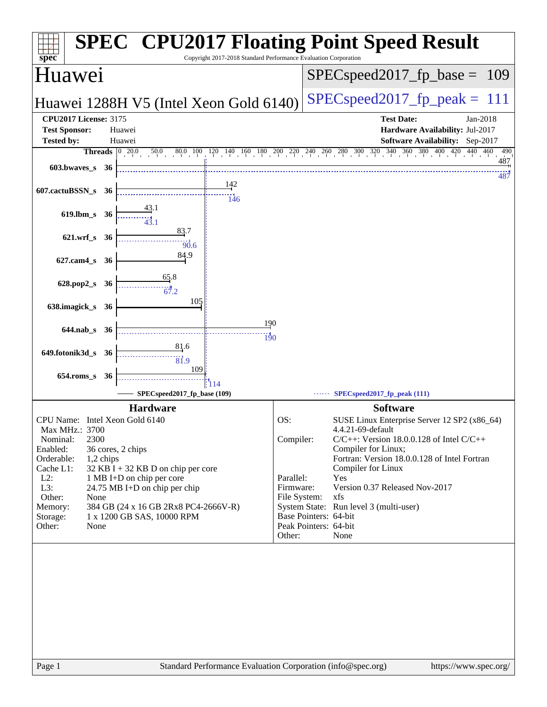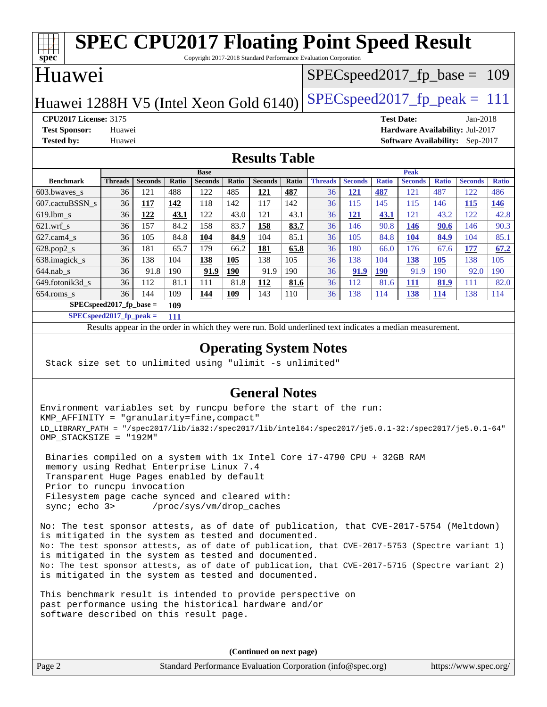#### **[spec](http://www.spec.org/) [SPEC CPU2017 Floating Point Speed Result](http://www.spec.org/auto/cpu2017/Docs/result-fields.html#SPECCPU2017FloatingPointSpeedResult)** Copyright 2017-2018 Standard Performance Evaluation Corporation Huawei Huawei 1288H V5 (Intel Xeon Gold  $6140$ ) [SPECspeed2017\\_fp\\_peak =](http://www.spec.org/auto/cpu2017/Docs/result-fields.html#SPECspeed2017fppeak) 111 SPECspeed2017 fp base  $= 109$ **[CPU2017 License:](http://www.spec.org/auto/cpu2017/Docs/result-fields.html#CPU2017License)** 3175 **[Test Date:](http://www.spec.org/auto/cpu2017/Docs/result-fields.html#TestDate)** Jan-2018 **[Test Sponsor:](http://www.spec.org/auto/cpu2017/Docs/result-fields.html#TestSponsor)** Huawei **[Hardware Availability:](http://www.spec.org/auto/cpu2017/Docs/result-fields.html#HardwareAvailability)** Jul-2017 **[Tested by:](http://www.spec.org/auto/cpu2017/Docs/result-fields.html#Testedby)** Huawei **[Software Availability:](http://www.spec.org/auto/cpu2017/Docs/result-fields.html#SoftwareAvailability)** Sep-2017 **[Results Table](http://www.spec.org/auto/cpu2017/Docs/result-fields.html#ResultsTable) [Benchmark](http://www.spec.org/auto/cpu2017/Docs/result-fields.html#Benchmark) [Threads](http://www.spec.org/auto/cpu2017/Docs/result-fields.html#Threads) [Seconds](http://www.spec.org/auto/cpu2017/Docs/result-fields.html#Seconds) [Ratio](http://www.spec.org/auto/cpu2017/Docs/result-fields.html#Ratio) [Seconds](http://www.spec.org/auto/cpu2017/Docs/result-fields.html#Seconds) [Ratio](http://www.spec.org/auto/cpu2017/Docs/result-fields.html#Ratio) [Seconds](http://www.spec.org/auto/cpu2017/Docs/result-fields.html#Seconds) [Ratio](http://www.spec.org/auto/cpu2017/Docs/result-fields.html#Ratio) Base [Threads](http://www.spec.org/auto/cpu2017/Docs/result-fields.html#Threads) [Seconds](http://www.spec.org/auto/cpu2017/Docs/result-fields.html#Seconds) [Ratio](http://www.spec.org/auto/cpu2017/Docs/result-fields.html#Ratio) [Seconds](http://www.spec.org/auto/cpu2017/Docs/result-fields.html#Seconds) [Ratio](http://www.spec.org/auto/cpu2017/Docs/result-fields.html#Ratio) [Seconds](http://www.spec.org/auto/cpu2017/Docs/result-fields.html#Seconds) [Ratio](http://www.spec.org/auto/cpu2017/Docs/result-fields.html#Ratio) Peak** [603.bwaves\\_s](http://www.spec.org/auto/cpu2017/Docs/benchmarks/603.bwaves_s.html) 36 121 488 122 485 **[121](http://www.spec.org/auto/cpu2017/Docs/result-fields.html#Median) [487](http://www.spec.org/auto/cpu2017/Docs/result-fields.html#Median)** 36 **[121](http://www.spec.org/auto/cpu2017/Docs/result-fields.html#Median) [487](http://www.spec.org/auto/cpu2017/Docs/result-fields.html#Median)** 121 487 122 486 [607.cactuBSSN\\_s](http://www.spec.org/auto/cpu2017/Docs/benchmarks/607.cactuBSSN_s.html) 36 **[117](http://www.spec.org/auto/cpu2017/Docs/result-fields.html#Median) [142](http://www.spec.org/auto/cpu2017/Docs/result-fields.html#Median)** 118 142 117 142 36 115 145 115 146 **[115](http://www.spec.org/auto/cpu2017/Docs/result-fields.html#Median) [146](http://www.spec.org/auto/cpu2017/Docs/result-fields.html#Median)** [619.lbm\\_s](http://www.spec.org/auto/cpu2017/Docs/benchmarks/619.lbm_s.html) 36 **[122](http://www.spec.org/auto/cpu2017/Docs/result-fields.html#Median) [43.1](http://www.spec.org/auto/cpu2017/Docs/result-fields.html#Median)** 122 43.0 121 43.1 36 **[121](http://www.spec.org/auto/cpu2017/Docs/result-fields.html#Median) [43.1](http://www.spec.org/auto/cpu2017/Docs/result-fields.html#Median)** 121 43.2 122 42.8 [621.wrf\\_s](http://www.spec.org/auto/cpu2017/Docs/benchmarks/621.wrf_s.html) 36 157 84.2 158 83.7 **[158](http://www.spec.org/auto/cpu2017/Docs/result-fields.html#Median) [83.7](http://www.spec.org/auto/cpu2017/Docs/result-fields.html#Median)** 36 146 90.8 **[146](http://www.spec.org/auto/cpu2017/Docs/result-fields.html#Median) [90.6](http://www.spec.org/auto/cpu2017/Docs/result-fields.html#Median)** 146 90.3 [627.cam4\\_s](http://www.spec.org/auto/cpu2017/Docs/benchmarks/627.cam4_s.html) 36 105 84.8 **[104](http://www.spec.org/auto/cpu2017/Docs/result-fields.html#Median) [84.9](http://www.spec.org/auto/cpu2017/Docs/result-fields.html#Median)** 104 85.1 36 105 84.8 **[104](http://www.spec.org/auto/cpu2017/Docs/result-fields.html#Median) [84.9](http://www.spec.org/auto/cpu2017/Docs/result-fields.html#Median)** 104 85.1 [628.pop2\\_s](http://www.spec.org/auto/cpu2017/Docs/benchmarks/628.pop2_s.html) 36 181 65.7 179 66.2 **[181](http://www.spec.org/auto/cpu2017/Docs/result-fields.html#Median) [65.8](http://www.spec.org/auto/cpu2017/Docs/result-fields.html#Median)** 36 180 66.0 176 67.6 **[177](http://www.spec.org/auto/cpu2017/Docs/result-fields.html#Median) [67.2](http://www.spec.org/auto/cpu2017/Docs/result-fields.html#Median)** [638.imagick\\_s](http://www.spec.org/auto/cpu2017/Docs/benchmarks/638.imagick_s.html) 36 138 104 **[138](http://www.spec.org/auto/cpu2017/Docs/result-fields.html#Median) [105](http://www.spec.org/auto/cpu2017/Docs/result-fields.html#Median)** 138 105 36 138 104 **[138](http://www.spec.org/auto/cpu2017/Docs/result-fields.html#Median) [105](http://www.spec.org/auto/cpu2017/Docs/result-fields.html#Median)** 138 105 [644.nab\\_s](http://www.spec.org/auto/cpu2017/Docs/benchmarks/644.nab_s.html) 36 91.8 190 **[91.9](http://www.spec.org/auto/cpu2017/Docs/result-fields.html#Median) [190](http://www.spec.org/auto/cpu2017/Docs/result-fields.html#Median)** 91.9 190 36 **[91.9](http://www.spec.org/auto/cpu2017/Docs/result-fields.html#Median) [190](http://www.spec.org/auto/cpu2017/Docs/result-fields.html#Median)** 91.9 190 92.0 190 [649.fotonik3d\\_s](http://www.spec.org/auto/cpu2017/Docs/benchmarks/649.fotonik3d_s.html) 36 112 81.1 111 81.8 **[112](http://www.spec.org/auto/cpu2017/Docs/result-fields.html#Median) [81.6](http://www.spec.org/auto/cpu2017/Docs/result-fields.html#Median)** 36 112 81.6 **[111](http://www.spec.org/auto/cpu2017/Docs/result-fields.html#Median) [81.9](http://www.spec.org/auto/cpu2017/Docs/result-fields.html#Median)** 111 82.0

**[SPECspeed2017\\_fp\\_base =](http://www.spec.org/auto/cpu2017/Docs/result-fields.html#SPECspeed2017fpbase) 109 [SPECspeed2017\\_fp\\_peak =](http://www.spec.org/auto/cpu2017/Docs/result-fields.html#SPECspeed2017fppeak) 111**

Results appear in the [order in which they were run.](http://www.spec.org/auto/cpu2017/Docs/result-fields.html#RunOrder) Bold underlined text [indicates a median measurement](http://www.spec.org/auto/cpu2017/Docs/result-fields.html#Median).

[654.roms\\_s](http://www.spec.org/auto/cpu2017/Docs/benchmarks/654.roms_s.html) 36 144 109 **[144](http://www.spec.org/auto/cpu2017/Docs/result-fields.html#Median) [109](http://www.spec.org/auto/cpu2017/Docs/result-fields.html#Median)** 143 110 36 138 114 **[138](http://www.spec.org/auto/cpu2017/Docs/result-fields.html#Median) [114](http://www.spec.org/auto/cpu2017/Docs/result-fields.html#Median)** 138 114

#### **[Operating System Notes](http://www.spec.org/auto/cpu2017/Docs/result-fields.html#OperatingSystemNotes)**

Stack size set to unlimited using "ulimit -s unlimited"

#### **[General Notes](http://www.spec.org/auto/cpu2017/Docs/result-fields.html#GeneralNotes)**

Environment variables set by runcpu before the start of the run: KMP\_AFFINITY = "granularity=fine,compact" LD\_LIBRARY\_PATH = "/spec2017/lib/ia32:/spec2017/lib/intel64:/spec2017/je5.0.1-32:/spec2017/je5.0.1-64" OMP\_STACKSIZE = "192M"

 Binaries compiled on a system with 1x Intel Core i7-4790 CPU + 32GB RAM memory using Redhat Enterprise Linux 7.4 Transparent Huge Pages enabled by default Prior to runcpu invocation Filesystem page cache synced and cleared with: sync; echo 3> /proc/sys/vm/drop\_caches

No: The test sponsor attests, as of date of publication, that CVE-2017-5754 (Meltdown) is mitigated in the system as tested and documented. No: The test sponsor attests, as of date of publication, that CVE-2017-5753 (Spectre variant 1) is mitigated in the system as tested and documented. No: The test sponsor attests, as of date of publication, that CVE-2017-5715 (Spectre variant 2) is mitigated in the system as tested and documented.

This benchmark result is intended to provide perspective on past performance using the historical hardware and/or software described on this result page.

**(Continued on next page)**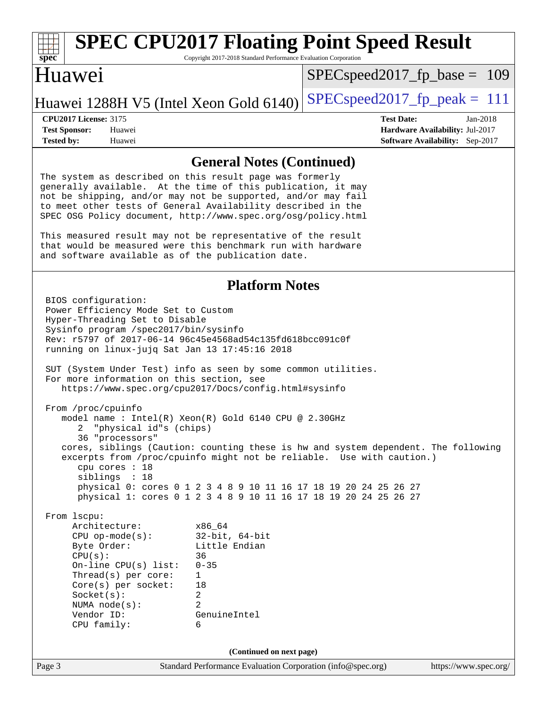# **[spec](http://www.spec.org/)**

## **[SPEC CPU2017 Floating Point Speed Result](http://www.spec.org/auto/cpu2017/Docs/result-fields.html#SPECCPU2017FloatingPointSpeedResult)**

Copyright 2017-2018 Standard Performance Evaluation Corporation

#### Huawei

SPECspeed2017 fp base =  $109$ 

#### Huawei 1288H V5 (Intel Xeon Gold  $6140$ ) [SPECspeed2017\\_fp\\_peak =](http://www.spec.org/auto/cpu2017/Docs/result-fields.html#SPECspeed2017fppeak) 111

**[Tested by:](http://www.spec.org/auto/cpu2017/Docs/result-fields.html#Testedby)** Huawei **[Software Availability:](http://www.spec.org/auto/cpu2017/Docs/result-fields.html#SoftwareAvailability)** Sep-2017

**[CPU2017 License:](http://www.spec.org/auto/cpu2017/Docs/result-fields.html#CPU2017License)** 3175 **[Test Date:](http://www.spec.org/auto/cpu2017/Docs/result-fields.html#TestDate)** Jan-2018 **[Test Sponsor:](http://www.spec.org/auto/cpu2017/Docs/result-fields.html#TestSponsor)** Huawei **[Hardware Availability:](http://www.spec.org/auto/cpu2017/Docs/result-fields.html#HardwareAvailability)** Jul-2017

#### **[General Notes \(Continued\)](http://www.spec.org/auto/cpu2017/Docs/result-fields.html#GeneralNotes)**

The system as described on this result page was formerly generally available. At the time of this publication, it may not be shipping, and/or may not be supported, and/or may fail to meet other tests of General Availability described in the SPEC OSG Policy document, <http://www.spec.org/osg/policy.html>

This measured result may not be representative of the result that would be measured were this benchmark run with hardware and software available as of the publication date.

#### **[Platform Notes](http://www.spec.org/auto/cpu2017/Docs/result-fields.html#PlatformNotes)**

Page 3 Standard Performance Evaluation Corporation [\(info@spec.org\)](mailto:info@spec.org) <https://www.spec.org/> BIOS configuration: Power Efficiency Mode Set to Custom Hyper-Threading Set to Disable Sysinfo program /spec2017/bin/sysinfo Rev: r5797 of 2017-06-14 96c45e4568ad54c135fd618bcc091c0f running on linux-jujq Sat Jan 13 17:45:16 2018 SUT (System Under Test) info as seen by some common utilities. For more information on this section, see <https://www.spec.org/cpu2017/Docs/config.html#sysinfo> From /proc/cpuinfo model name : Intel(R) Xeon(R) Gold 6140 CPU @ 2.30GHz 2 "physical id"s (chips) 36 "processors" cores, siblings (Caution: counting these is hw and system dependent. The following excerpts from /proc/cpuinfo might not be reliable. Use with caution.) cpu cores : 18 siblings : 18 physical 0: cores 0 1 2 3 4 8 9 10 11 16 17 18 19 20 24 25 26 27 physical 1: cores 0 1 2 3 4 8 9 10 11 16 17 18 19 20 24 25 26 27 From lscpu: Architecture: x86\_64 CPU op-mode(s): 32-bit, 64-bit Byte Order: Little Endian  $CPU(s):$  36 On-line CPU(s) list: 0-35 Thread(s) per core: 1 Core(s) per socket: 18 Socket(s): 2 NUMA node(s): 2 Vendor ID: GenuineIntel CPU family: 6 **(Continued on next page)**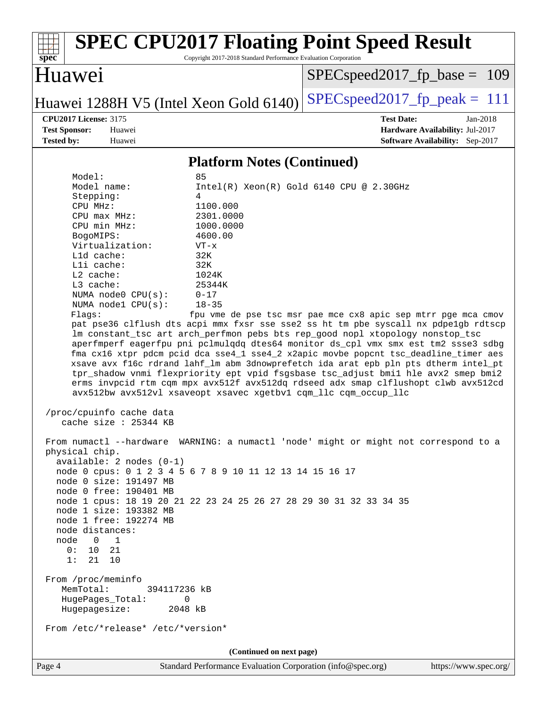#### **[spec](http://www.spec.org/) [SPEC CPU2017 Floating Point Speed Result](http://www.spec.org/auto/cpu2017/Docs/result-fields.html#SPECCPU2017FloatingPointSpeedResult)** Copyright 2017-2018 Standard Performance Evaluation Corporation Huawei Huawei 1288H V5 (Intel Xeon Gold  $6140$ ) [SPECspeed2017\\_fp\\_peak =](http://www.spec.org/auto/cpu2017/Docs/result-fields.html#SPECspeed2017fppeak) 111 SPECspeed2017 fp base =  $109$ **[CPU2017 License:](http://www.spec.org/auto/cpu2017/Docs/result-fields.html#CPU2017License)** 3175 **[Test Date:](http://www.spec.org/auto/cpu2017/Docs/result-fields.html#TestDate)** Jan-2018 **[Test Sponsor:](http://www.spec.org/auto/cpu2017/Docs/result-fields.html#TestSponsor)** Huawei **[Hardware Availability:](http://www.spec.org/auto/cpu2017/Docs/result-fields.html#HardwareAvailability)** Jul-2017 **[Tested by:](http://www.spec.org/auto/cpu2017/Docs/result-fields.html#Testedby)** Huawei **[Software Availability:](http://www.spec.org/auto/cpu2017/Docs/result-fields.html#SoftwareAvailability)** Sep-2017 **[Platform Notes \(Continued\)](http://www.spec.org/auto/cpu2017/Docs/result-fields.html#PlatformNotes)** Model: 85 Model name: Intel(R) Xeon(R) Gold 6140 CPU @ 2.30GHz Stepping: 4 CPU MHz: 1100.000 CPU max MHz: 2301.0000 CPU min MHz: 1000.0000 BogoMIPS: 4600.00 Virtualization: VT-x L1d cache: 32K L1i cache: 32K L2 cache: 1024K L3 cache: 25344K NUMA node0 CPU(s): 0-17 NUMA node1 CPU(s): 18-35 Flags: fpu vme de pse tsc msr pae mce cx8 apic sep mtrr pge mca cmov pat pse36 clflush dts acpi mmx fxsr sse sse2 ss ht tm pbe syscall nx pdpe1gb rdtscp lm constant\_tsc art arch\_perfmon pebs bts rep\_good nopl xtopology nonstop\_tsc aperfmperf eagerfpu pni pclmulqdq dtes64 monitor ds\_cpl vmx smx est tm2 ssse3 sdbg fma cx16 xtpr pdcm pcid dca sse4\_1 sse4\_2 x2apic movbe popcnt tsc\_deadline\_timer aes xsave avx f16c rdrand lahf\_lm abm 3dnowprefetch ida arat epb pln pts dtherm intel\_pt tpr\_shadow vnmi flexpriority ept vpid fsgsbase tsc\_adjust bmi1 hle avx2 smep bmi2 erms invpcid rtm cqm mpx avx512f avx512dq rdseed adx smap clflushopt clwb avx512cd avx512bw avx512vl xsaveopt xsavec xgetbv1 cqm\_llc cqm\_occup\_llc /proc/cpuinfo cache data cache size : 25344 KB From numactl --hardware WARNING: a numactl 'node' might or might not correspond to a physical chip. available: 2 nodes (0-1) node 0 cpus: 0 1 2 3 4 5 6 7 8 9 10 11 12 13 14 15 16 17 node 0 size: 191497 MB node 0 free: 190401 MB node 1 cpus: 18 19 20 21 22 23 24 25 26 27 28 29 30 31 32 33 34 35 node 1 size: 193382 MB node 1 free: 192274 MB node distances: node 0 1 0: 10 21 1: 21 10 From /proc/meminfo MemTotal: 394117236 kB HugePages\_Total: 0 Hugepagesize: 2048 kB From /etc/\*release\* /etc/\*version\* **(Continued on next page)**

Page 4 Standard Performance Evaluation Corporation [\(info@spec.org\)](mailto:info@spec.org) <https://www.spec.org/>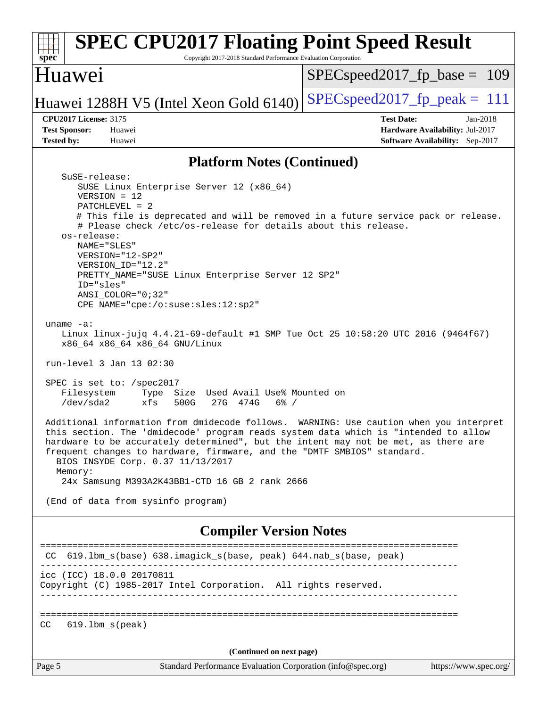| <b>SPEC CPU2017 Floating Point Speed Result</b><br>Copyright 2017-2018 Standard Performance Evaluation Corporation<br>spec <sup>®</sup>                                                                                                                                                                                                                                                                                                                                                                                                                                                                                                                                                                                                                                                                                                                                                                                                                                                                                                                                                                                                                                                                                                                                              |                                                                                                       |  |
|--------------------------------------------------------------------------------------------------------------------------------------------------------------------------------------------------------------------------------------------------------------------------------------------------------------------------------------------------------------------------------------------------------------------------------------------------------------------------------------------------------------------------------------------------------------------------------------------------------------------------------------------------------------------------------------------------------------------------------------------------------------------------------------------------------------------------------------------------------------------------------------------------------------------------------------------------------------------------------------------------------------------------------------------------------------------------------------------------------------------------------------------------------------------------------------------------------------------------------------------------------------------------------------|-------------------------------------------------------------------------------------------------------|--|
| Huawei                                                                                                                                                                                                                                                                                                                                                                                                                                                                                                                                                                                                                                                                                                                                                                                                                                                                                                                                                                                                                                                                                                                                                                                                                                                                               | $SPEC speed2017_fp\_base = 109$                                                                       |  |
| Huawei 1288H V5 (Intel Xeon Gold 6140)                                                                                                                                                                                                                                                                                                                                                                                                                                                                                                                                                                                                                                                                                                                                                                                                                                                                                                                                                                                                                                                                                                                                                                                                                                               | $SPEC speed2017_fp\_peak = 111$                                                                       |  |
| <b>CPU2017 License: 3175</b><br><b>Test Sponsor:</b><br>Huawei<br><b>Tested by:</b><br>Huawei                                                                                                                                                                                                                                                                                                                                                                                                                                                                                                                                                                                                                                                                                                                                                                                                                                                                                                                                                                                                                                                                                                                                                                                        | <b>Test Date:</b><br>$Jan-2018$<br>Hardware Availability: Jul-2017<br>Software Availability: Sep-2017 |  |
| <b>Platform Notes (Continued)</b>                                                                                                                                                                                                                                                                                                                                                                                                                                                                                                                                                                                                                                                                                                                                                                                                                                                                                                                                                                                                                                                                                                                                                                                                                                                    |                                                                                                       |  |
| SuSE-release:<br>SUSE Linux Enterprise Server 12 (x86_64)<br>$VERSION = 12$<br>$PATCHLEVEL = 2$<br># This file is deprecated and will be removed in a future service pack or release.<br># Please check /etc/os-release for details about this release.<br>os-release:<br>NAME="SLES"<br>VERSION="12-SP2"<br>VERSION ID="12.2"<br>PRETTY_NAME="SUSE Linux Enterprise Server 12 SP2"<br>ID="sles"<br>$ANSI$ _COLOR=" $0:32$ "<br>$CPE\_NAME = "cpe://o:suse: sles:12:sp2"$<br>uname $-a$ :<br>Linux linux-jujq 4.4.21-69-default #1 SMP Tue Oct 25 10:58:20 UTC 2016 (9464f67)<br>x86_64 x86_64 x86_64 GNU/Linux<br>run-level 3 Jan 13 02:30<br>SPEC is set to: /spec2017<br>Type Size Used Avail Use% Mounted on<br>Filesystem<br>$/\text{dev/sda2}$<br>xfs<br>500G<br>27G 474G<br>$6\%$ /<br>Additional information from dmidecode follows. WARNING: Use caution when you interpret<br>this section. The 'dmidecode' program reads system data which is "intended to allow<br>hardware to be accurately determined", but the intent may not be met, as there are<br>frequent changes to hardware, firmware, and the "DMTF SMBIOS" standard.<br>BIOS INSYDE Corp. 0.37 11/13/2017<br>Memory:<br>24x Samsung M393A2K43BB1-CTD 16 GB 2 rank 2666<br>(End of data from sysinfo program) |                                                                                                       |  |
| <b>Compiler Version Notes</b>                                                                                                                                                                                                                                                                                                                                                                                                                                                                                                                                                                                                                                                                                                                                                                                                                                                                                                                                                                                                                                                                                                                                                                                                                                                        |                                                                                                       |  |
| CC 619.1bm_s(base) 638.imagick_s(base, peak) 644.nab_s(base, peak)                                                                                                                                                                                                                                                                                                                                                                                                                                                                                                                                                                                                                                                                                                                                                                                                                                                                                                                                                                                                                                                                                                                                                                                                                   |                                                                                                       |  |
| icc (ICC) 18.0.0 20170811<br>Copyright (C) 1985-2017 Intel Corporation. All rights reserved.                                                                                                                                                                                                                                                                                                                                                                                                                                                                                                                                                                                                                                                                                                                                                                                                                                                                                                                                                                                                                                                                                                                                                                                         |                                                                                                       |  |
| CC<br>$619.1$ bm_s(peak)                                                                                                                                                                                                                                                                                                                                                                                                                                                                                                                                                                                                                                                                                                                                                                                                                                                                                                                                                                                                                                                                                                                                                                                                                                                             |                                                                                                       |  |
| (Continued on next page)                                                                                                                                                                                                                                                                                                                                                                                                                                                                                                                                                                                                                                                                                                                                                                                                                                                                                                                                                                                                                                                                                                                                                                                                                                                             |                                                                                                       |  |
| Standard Performance Evaluation Corporation (info@spec.org)<br>Page 5                                                                                                                                                                                                                                                                                                                                                                                                                                                                                                                                                                                                                                                                                                                                                                                                                                                                                                                                                                                                                                                                                                                                                                                                                | https://www.spec.org/                                                                                 |  |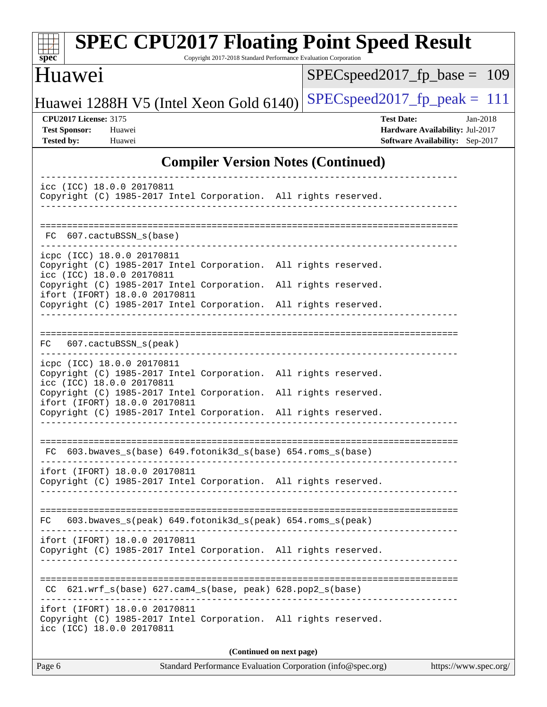| $spec^*$                                                                                                                                       | <b>SPEC CPU2017 Floating Point Speed Result</b><br>Copyright 2017-2018 Standard Performance Evaluation Corporation |  |  |
|------------------------------------------------------------------------------------------------------------------------------------------------|--------------------------------------------------------------------------------------------------------------------|--|--|
| Huawei                                                                                                                                         | $SPEC speed2017_fp\_base = 109$                                                                                    |  |  |
| Huawei 1288H V5 (Intel Xeon Gold 6140)                                                                                                         | $SPEC speed2017_fp\_peak = 111$                                                                                    |  |  |
| <b>CPU2017 License: 3175</b><br><b>Test Sponsor:</b><br>Huawei<br><b>Tested by:</b><br>Huawei                                                  | <b>Test Date:</b><br>$Jan-2018$<br>Hardware Availability: Jul-2017<br>Software Availability: Sep-2017              |  |  |
|                                                                                                                                                | <b>Compiler Version Notes (Continued)</b>                                                                          |  |  |
| icc (ICC) 18.0.0 20170811<br>Copyright (C) 1985-2017 Intel Corporation. All rights reserved.                                                   |                                                                                                                    |  |  |
| 607.cactuBSSN s(base)<br>FC.                                                                                                                   | =================================                                                                                  |  |  |
| icpc (ICC) 18.0.0 20170811<br>Copyright (C) 1985-2017 Intel Corporation. All rights reserved.<br>icc (ICC) 18.0.0 20170811                     |                                                                                                                    |  |  |
| Copyright (C) 1985-2017 Intel Corporation.<br>ifort (IFORT) 18.0.0 20170811<br>Copyright (C) 1985-2017 Intel Corporation. All rights reserved. | All rights reserved.                                                                                               |  |  |
| 607.cactuBSSN_s(peak)<br>FC.                                                                                                                   |                                                                                                                    |  |  |
| icpc (ICC) 18.0.0 20170811<br>Copyright (C) 1985-2017 Intel Corporation. All rights reserved.<br>icc (ICC) 18.0.0 20170811                     |                                                                                                                    |  |  |
| Copyright (C) 1985-2017 Intel Corporation.<br>ifort (IFORT) 18.0.0 20170811<br>Copyright (C) 1985-2017 Intel Corporation. All rights reserved. | All rights reserved.                                                                                               |  |  |
| $603.bwaves_s(base) 649.fotonik3d_s(base) 654.roms_s(base)$                                                                                    |                                                                                                                    |  |  |
| ifort (IFORT) 18.0.0 20170811<br>Copyright (C) 1985-2017 Intel Corporation. All rights reserved.                                               |                                                                                                                    |  |  |
| 603.bwaves_s(peak) 649.fotonik3d_s(peak) 654.roms_s(peak)<br>FC.                                                                               |                                                                                                                    |  |  |
| ifort (IFORT) 18.0.0 20170811<br>Copyright (C) 1985-2017 Intel Corporation. All rights reserved.                                               |                                                                                                                    |  |  |
| $621.wrf_s(base)$ $627.cam4_s(base, peak)$ $628.pop2_s(base)$                                                                                  |                                                                                                                    |  |  |
| ifort (IFORT) 18.0.0 20170811<br>Copyright (C) 1985-2017 Intel Corporation. All rights reserved.<br>icc (ICC) 18.0.0 20170811                  |                                                                                                                    |  |  |
| (Continued on next page)<br>Standard Performance Evaluation Corporation (info@spec.org)<br>Page 6<br>https://www.spec.org/                     |                                                                                                                    |  |  |
|                                                                                                                                                |                                                                                                                    |  |  |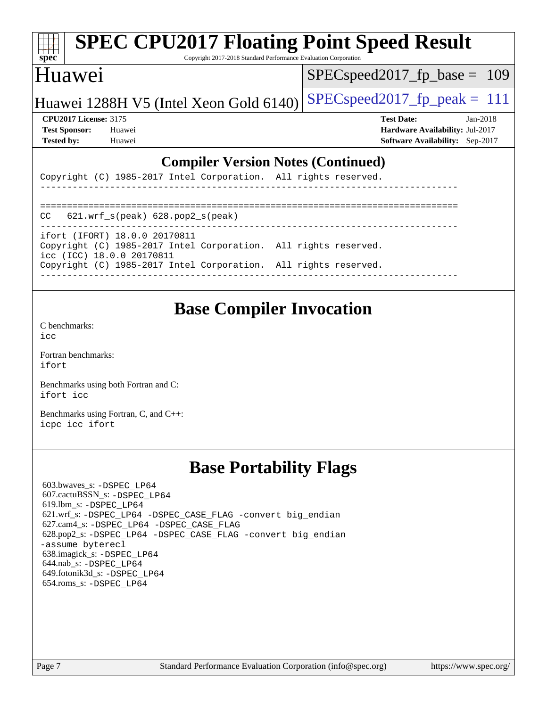#### **[spec](http://www.spec.org/) [SPEC CPU2017 Floating Point Speed Result](http://www.spec.org/auto/cpu2017/Docs/result-fields.html#SPECCPU2017FloatingPointSpeedResult)** Copyright 2017-2018 Standard Performance Evaluation Corporation Huawei Huawei 1288H V5 (Intel Xeon Gold  $6140$ ) [SPECspeed2017\\_fp\\_peak =](http://www.spec.org/auto/cpu2017/Docs/result-fields.html#SPECspeed2017fppeak) 111 [SPECspeed2017\\_fp\\_base =](http://www.spec.org/auto/cpu2017/Docs/result-fields.html#SPECspeed2017fpbase) 109 **[CPU2017 License:](http://www.spec.org/auto/cpu2017/Docs/result-fields.html#CPU2017License)** 3175 **[Test Date:](http://www.spec.org/auto/cpu2017/Docs/result-fields.html#TestDate)** Jan-2018 **[Test Sponsor:](http://www.spec.org/auto/cpu2017/Docs/result-fields.html#TestSponsor)** Huawei **[Hardware Availability:](http://www.spec.org/auto/cpu2017/Docs/result-fields.html#HardwareAvailability)** Jul-2017 **[Tested by:](http://www.spec.org/auto/cpu2017/Docs/result-fields.html#Testedby)** Huawei **[Software Availability:](http://www.spec.org/auto/cpu2017/Docs/result-fields.html#SoftwareAvailability)** Sep-2017 **[Compiler Version Notes \(Continued\)](http://www.spec.org/auto/cpu2017/Docs/result-fields.html#CompilerVersionNotes)** Copyright (C) 1985-2017 Intel Corporation. All rights reserved. ------------------------------------------------------------------------------ ==============================================================================  $CC$  621.wrf  $s(peak)$  628.pop2  $s(peak)$

| $\tilde{}$ | $241.11 - 0$ |  |
|------------|--------------|--|
|            |              |  |

------------------------------------------------------------------------------

ifort (IFORT) 18.0.0 20170811

Copyright (C) 1985-2017 Intel Corporation. All rights reserved.

icc (ICC) 18.0.0 20170811 Copyright (C) 1985-2017 Intel Corporation. All rights reserved.

# **[Base Compiler Invocation](http://www.spec.org/auto/cpu2017/Docs/result-fields.html#BaseCompilerInvocation)**

[C benchmarks](http://www.spec.org/auto/cpu2017/Docs/result-fields.html#Cbenchmarks):  $i$ cc

[Fortran benchmarks](http://www.spec.org/auto/cpu2017/Docs/result-fields.html#Fortranbenchmarks): [ifort](http://www.spec.org/cpu2017/results/res2018q1/cpu2017-20180122-02649.flags.html#user_FCbase_intel_ifort_18.0_8111460550e3ca792625aed983ce982f94888b8b503583aa7ba2b8303487b4d8a21a13e7191a45c5fd58ff318f48f9492884d4413fa793fd88dd292cad7027ca)

[Benchmarks using both Fortran and C](http://www.spec.org/auto/cpu2017/Docs/result-fields.html#BenchmarksusingbothFortranandC): [ifort](http://www.spec.org/cpu2017/results/res2018q1/cpu2017-20180122-02649.flags.html#user_CC_FCbase_intel_ifort_18.0_8111460550e3ca792625aed983ce982f94888b8b503583aa7ba2b8303487b4d8a21a13e7191a45c5fd58ff318f48f9492884d4413fa793fd88dd292cad7027ca) [icc](http://www.spec.org/cpu2017/results/res2018q1/cpu2017-20180122-02649.flags.html#user_CC_FCbase_intel_icc_18.0_66fc1ee009f7361af1fbd72ca7dcefbb700085f36577c54f309893dd4ec40d12360134090235512931783d35fd58c0460139e722d5067c5574d8eaf2b3e37e92)

[Benchmarks using Fortran, C, and C++:](http://www.spec.org/auto/cpu2017/Docs/result-fields.html#BenchmarksusingFortranCandCXX) [icpc](http://www.spec.org/cpu2017/results/res2018q1/cpu2017-20180122-02649.flags.html#user_CC_CXX_FCbase_intel_icpc_18.0_c510b6838c7f56d33e37e94d029a35b4a7bccf4766a728ee175e80a419847e808290a9b78be685c44ab727ea267ec2f070ec5dc83b407c0218cded6866a35d07) [icc](http://www.spec.org/cpu2017/results/res2018q1/cpu2017-20180122-02649.flags.html#user_CC_CXX_FCbase_intel_icc_18.0_66fc1ee009f7361af1fbd72ca7dcefbb700085f36577c54f309893dd4ec40d12360134090235512931783d35fd58c0460139e722d5067c5574d8eaf2b3e37e92) [ifort](http://www.spec.org/cpu2017/results/res2018q1/cpu2017-20180122-02649.flags.html#user_CC_CXX_FCbase_intel_ifort_18.0_8111460550e3ca792625aed983ce982f94888b8b503583aa7ba2b8303487b4d8a21a13e7191a45c5fd58ff318f48f9492884d4413fa793fd88dd292cad7027ca)

### **[Base Portability Flags](http://www.spec.org/auto/cpu2017/Docs/result-fields.html#BasePortabilityFlags)**

 603.bwaves\_s: [-DSPEC\\_LP64](http://www.spec.org/cpu2017/results/res2018q1/cpu2017-20180122-02649.flags.html#suite_basePORTABILITY603_bwaves_s_DSPEC_LP64) 607.cactuBSSN\_s: [-DSPEC\\_LP64](http://www.spec.org/cpu2017/results/res2018q1/cpu2017-20180122-02649.flags.html#suite_basePORTABILITY607_cactuBSSN_s_DSPEC_LP64) 619.lbm\_s: [-DSPEC\\_LP64](http://www.spec.org/cpu2017/results/res2018q1/cpu2017-20180122-02649.flags.html#suite_basePORTABILITY619_lbm_s_DSPEC_LP64) 621.wrf\_s: [-DSPEC\\_LP64](http://www.spec.org/cpu2017/results/res2018q1/cpu2017-20180122-02649.flags.html#suite_basePORTABILITY621_wrf_s_DSPEC_LP64) [-DSPEC\\_CASE\\_FLAG](http://www.spec.org/cpu2017/results/res2018q1/cpu2017-20180122-02649.flags.html#b621.wrf_s_baseCPORTABILITY_DSPEC_CASE_FLAG) [-convert big\\_endian](http://www.spec.org/cpu2017/results/res2018q1/cpu2017-20180122-02649.flags.html#user_baseFPORTABILITY621_wrf_s_convert_big_endian_c3194028bc08c63ac5d04de18c48ce6d347e4e562e8892b8bdbdc0214820426deb8554edfa529a3fb25a586e65a3d812c835984020483e7e73212c4d31a38223) 627.cam4\_s: [-DSPEC\\_LP64](http://www.spec.org/cpu2017/results/res2018q1/cpu2017-20180122-02649.flags.html#suite_basePORTABILITY627_cam4_s_DSPEC_LP64) [-DSPEC\\_CASE\\_FLAG](http://www.spec.org/cpu2017/results/res2018q1/cpu2017-20180122-02649.flags.html#b627.cam4_s_baseCPORTABILITY_DSPEC_CASE_FLAG) 628.pop2\_s: [-DSPEC\\_LP64](http://www.spec.org/cpu2017/results/res2018q1/cpu2017-20180122-02649.flags.html#suite_basePORTABILITY628_pop2_s_DSPEC_LP64) [-DSPEC\\_CASE\\_FLAG](http://www.spec.org/cpu2017/results/res2018q1/cpu2017-20180122-02649.flags.html#b628.pop2_s_baseCPORTABILITY_DSPEC_CASE_FLAG) [-convert big\\_endian](http://www.spec.org/cpu2017/results/res2018q1/cpu2017-20180122-02649.flags.html#user_baseFPORTABILITY628_pop2_s_convert_big_endian_c3194028bc08c63ac5d04de18c48ce6d347e4e562e8892b8bdbdc0214820426deb8554edfa529a3fb25a586e65a3d812c835984020483e7e73212c4d31a38223) [-assume byterecl](http://www.spec.org/cpu2017/results/res2018q1/cpu2017-20180122-02649.flags.html#user_baseFPORTABILITY628_pop2_s_assume_byterecl_7e47d18b9513cf18525430bbf0f2177aa9bf368bc7a059c09b2c06a34b53bd3447c950d3f8d6c70e3faf3a05c8557d66a5798b567902e8849adc142926523472) 638.imagick\_s: [-DSPEC\\_LP64](http://www.spec.org/cpu2017/results/res2018q1/cpu2017-20180122-02649.flags.html#suite_basePORTABILITY638_imagick_s_DSPEC_LP64) 644.nab\_s: [-DSPEC\\_LP64](http://www.spec.org/cpu2017/results/res2018q1/cpu2017-20180122-02649.flags.html#suite_basePORTABILITY644_nab_s_DSPEC_LP64) 649.fotonik3d\_s: [-DSPEC\\_LP64](http://www.spec.org/cpu2017/results/res2018q1/cpu2017-20180122-02649.flags.html#suite_basePORTABILITY649_fotonik3d_s_DSPEC_LP64) 654.roms\_s: [-DSPEC\\_LP64](http://www.spec.org/cpu2017/results/res2018q1/cpu2017-20180122-02649.flags.html#suite_basePORTABILITY654_roms_s_DSPEC_LP64)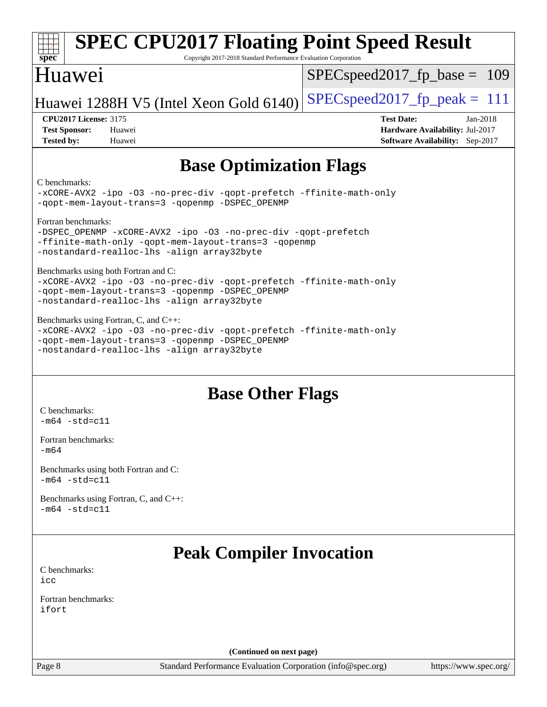| $spec^*$<br>Copyright 2017-2018 Standard Performance Evaluation Corporation<br>Huawei                                                                                                                         | $SPEC speed2017_fp\_base = 109$                                    |
|---------------------------------------------------------------------------------------------------------------------------------------------------------------------------------------------------------------|--------------------------------------------------------------------|
|                                                                                                                                                                                                               |                                                                    |
| Huawei 1288H V5 (Intel Xeon Gold 6140)<br><b>CPU2017 License: 3175</b>                                                                                                                                        | $SPEC speed2017_fp\_peak = 111$<br><b>Test Date:</b><br>Jan-2018   |
| <b>Test Sponsor:</b><br>Huawei<br><b>Tested by:</b><br>Huawei                                                                                                                                                 | Hardware Availability: Jul-2017<br>Software Availability: Sep-2017 |
| <b>Base Optimization Flags</b>                                                                                                                                                                                |                                                                    |
| C benchmarks:<br>-xCORE-AVX2 -ipo -03 -no-prec-div -qopt-prefetch -ffinite-math-only<br>-qopt-mem-layout-trans=3 -qopenmp -DSPEC_OPENMP                                                                       |                                                                    |
| Fortran benchmarks:<br>-DSPEC_OPENMP -xCORE-AVX2 -ipo -03 -no-prec-div -qopt-prefetch<br>-ffinite-math-only -qopt-mem-layout-trans=3 -qopenmp<br>-nostandard-realloc-lhs -align array32byte                   |                                                                    |
| Benchmarks using both Fortran and C:<br>-xCORE-AVX2 -ipo -03 -no-prec-div -qopt-prefetch -ffinite-math-only<br>-qopt-mem-layout-trans=3 -qopenmp -DSPEC_OPENMP<br>-nostandard-realloc-lhs -align array32byte  |                                                                    |
| Benchmarks using Fortran, C, and C++:<br>-xCORE-AVX2 -ipo -03 -no-prec-div -qopt-prefetch -ffinite-math-only<br>-qopt-mem-layout-trans=3 -qopenmp -DSPEC_OPENMP<br>-nostandard-realloc-lhs -align array32byte |                                                                    |
| <b>Base Other Flags</b>                                                                                                                                                                                       |                                                                    |
| C benchmarks:<br>$-m64$ -std=c11                                                                                                                                                                              |                                                                    |
| Fortran benchmarks:<br>$-m64$                                                                                                                                                                                 |                                                                    |
| Benchmarks using both Fortran and C:<br>$-m64 - std= c11$                                                                                                                                                     |                                                                    |
| Benchmarks using Fortran, C, and C++:<br>$-m64 - std = c11$                                                                                                                                                   |                                                                    |
| <b>Peak Compiler Invocation</b>                                                                                                                                                                               |                                                                    |
| C benchmarks:<br>icc                                                                                                                                                                                          |                                                                    |
| Fortran benchmarks:<br>ifort                                                                                                                                                                                  |                                                                    |
| (Continued on next page)                                                                                                                                                                                      |                                                                    |
| Standard Performance Evaluation Corporation (info@spec.org)<br>Page 8                                                                                                                                         | https://www.spec.org/                                              |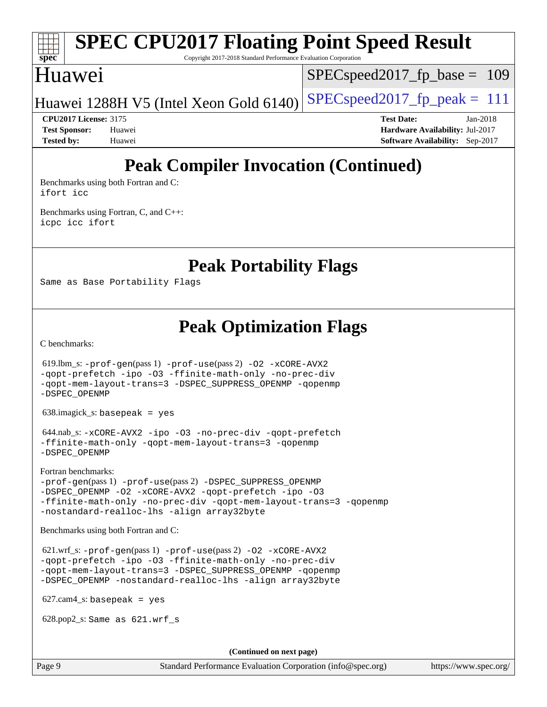## **[spec](http://www.spec.org/)**

## **[SPEC CPU2017 Floating Point Speed Result](http://www.spec.org/auto/cpu2017/Docs/result-fields.html#SPECCPU2017FloatingPointSpeedResult)**

Copyright 2017-2018 Standard Performance Evaluation Corporation

### Huawei

SPECspeed2017 fp base =  $109$ 

Huawei 1288H V5 (Intel Xeon Gold  $6140$ ) [SPECspeed2017\\_fp\\_peak =](http://www.spec.org/auto/cpu2017/Docs/result-fields.html#SPECspeed2017fppeak) 111

**[CPU2017 License:](http://www.spec.org/auto/cpu2017/Docs/result-fields.html#CPU2017License)** 3175 **[Test Date:](http://www.spec.org/auto/cpu2017/Docs/result-fields.html#TestDate)** Jan-2018 **[Test Sponsor:](http://www.spec.org/auto/cpu2017/Docs/result-fields.html#TestSponsor)** Huawei **[Hardware Availability:](http://www.spec.org/auto/cpu2017/Docs/result-fields.html#HardwareAvailability)** Jul-2017 **[Tested by:](http://www.spec.org/auto/cpu2017/Docs/result-fields.html#Testedby)** Huawei **[Software Availability:](http://www.spec.org/auto/cpu2017/Docs/result-fields.html#SoftwareAvailability)** Sep-2017

### **[Peak Compiler Invocation \(Continued\)](http://www.spec.org/auto/cpu2017/Docs/result-fields.html#PeakCompilerInvocation)**

[Benchmarks using both Fortran and C](http://www.spec.org/auto/cpu2017/Docs/result-fields.html#BenchmarksusingbothFortranandC): [ifort](http://www.spec.org/cpu2017/results/res2018q1/cpu2017-20180122-02649.flags.html#user_CC_FCpeak_intel_ifort_18.0_8111460550e3ca792625aed983ce982f94888b8b503583aa7ba2b8303487b4d8a21a13e7191a45c5fd58ff318f48f9492884d4413fa793fd88dd292cad7027ca) [icc](http://www.spec.org/cpu2017/results/res2018q1/cpu2017-20180122-02649.flags.html#user_CC_FCpeak_intel_icc_18.0_66fc1ee009f7361af1fbd72ca7dcefbb700085f36577c54f309893dd4ec40d12360134090235512931783d35fd58c0460139e722d5067c5574d8eaf2b3e37e92)

[Benchmarks using Fortran, C, and C++:](http://www.spec.org/auto/cpu2017/Docs/result-fields.html#BenchmarksusingFortranCandCXX) [icpc](http://www.spec.org/cpu2017/results/res2018q1/cpu2017-20180122-02649.flags.html#user_CC_CXX_FCpeak_intel_icpc_18.0_c510b6838c7f56d33e37e94d029a35b4a7bccf4766a728ee175e80a419847e808290a9b78be685c44ab727ea267ec2f070ec5dc83b407c0218cded6866a35d07) [icc](http://www.spec.org/cpu2017/results/res2018q1/cpu2017-20180122-02649.flags.html#user_CC_CXX_FCpeak_intel_icc_18.0_66fc1ee009f7361af1fbd72ca7dcefbb700085f36577c54f309893dd4ec40d12360134090235512931783d35fd58c0460139e722d5067c5574d8eaf2b3e37e92) [ifort](http://www.spec.org/cpu2017/results/res2018q1/cpu2017-20180122-02649.flags.html#user_CC_CXX_FCpeak_intel_ifort_18.0_8111460550e3ca792625aed983ce982f94888b8b503583aa7ba2b8303487b4d8a21a13e7191a45c5fd58ff318f48f9492884d4413fa793fd88dd292cad7027ca)

**[Peak Portability Flags](http://www.spec.org/auto/cpu2017/Docs/result-fields.html#PeakPortabilityFlags)**

Same as Base Portability Flags

### **[Peak Optimization Flags](http://www.spec.org/auto/cpu2017/Docs/result-fields.html#PeakOptimizationFlags)**

[C benchmarks](http://www.spec.org/auto/cpu2017/Docs/result-fields.html#Cbenchmarks):

 619.lbm\_s: [-prof-gen](http://www.spec.org/cpu2017/results/res2018q1/cpu2017-20180122-02649.flags.html#user_peakPASS1_CFLAGSPASS1_LDFLAGS619_lbm_s_prof_gen_5aa4926d6013ddb2a31985c654b3eb18169fc0c6952a63635c234f711e6e63dd76e94ad52365559451ec499a2cdb89e4dc58ba4c67ef54ca681ffbe1461d6b36)(pass 1) [-prof-use](http://www.spec.org/cpu2017/results/res2018q1/cpu2017-20180122-02649.flags.html#user_peakPASS2_CFLAGSPASS2_LDFLAGS619_lbm_s_prof_use_1a21ceae95f36a2b53c25747139a6c16ca95bd9def2a207b4f0849963b97e94f5260e30a0c64f4bb623698870e679ca08317ef8150905d41bd88c6f78df73f19)(pass 2) [-O2](http://www.spec.org/cpu2017/results/res2018q1/cpu2017-20180122-02649.flags.html#user_peakPASS1_COPTIMIZE619_lbm_s_f-O2) [-xCORE-AVX2](http://www.spec.org/cpu2017/results/res2018q1/cpu2017-20180122-02649.flags.html#user_peakPASS2_COPTIMIZE619_lbm_s_f-xCORE-AVX2) [-qopt-prefetch](http://www.spec.org/cpu2017/results/res2018q1/cpu2017-20180122-02649.flags.html#user_peakPASS1_COPTIMIZEPASS2_COPTIMIZE619_lbm_s_f-qopt-prefetch) [-ipo](http://www.spec.org/cpu2017/results/res2018q1/cpu2017-20180122-02649.flags.html#user_peakPASS2_COPTIMIZE619_lbm_s_f-ipo) [-O3](http://www.spec.org/cpu2017/results/res2018q1/cpu2017-20180122-02649.flags.html#user_peakPASS2_COPTIMIZE619_lbm_s_f-O3) [-ffinite-math-only](http://www.spec.org/cpu2017/results/res2018q1/cpu2017-20180122-02649.flags.html#user_peakPASS1_COPTIMIZEPASS2_COPTIMIZE619_lbm_s_f_finite_math_only_cb91587bd2077682c4b38af759c288ed7c732db004271a9512da14a4f8007909a5f1427ecbf1a0fb78ff2a814402c6114ac565ca162485bbcae155b5e4258871) [-no-prec-div](http://www.spec.org/cpu2017/results/res2018q1/cpu2017-20180122-02649.flags.html#user_peakPASS2_COPTIMIZE619_lbm_s_f-no-prec-div) [-qopt-mem-layout-trans=3](http://www.spec.org/cpu2017/results/res2018q1/cpu2017-20180122-02649.flags.html#user_peakPASS1_COPTIMIZEPASS2_COPTIMIZE619_lbm_s_f-qopt-mem-layout-trans_de80db37974c74b1f0e20d883f0b675c88c3b01e9d123adea9b28688d64333345fb62bc4a798493513fdb68f60282f9a726aa07f478b2f7113531aecce732043) [-DSPEC\\_SUPPRESS\\_OPENMP](http://www.spec.org/cpu2017/results/res2018q1/cpu2017-20180122-02649.flags.html#suite_peakPASS1_COPTIMIZE619_lbm_s_DSPEC_SUPPRESS_OPENMP) [-qopenmp](http://www.spec.org/cpu2017/results/res2018q1/cpu2017-20180122-02649.flags.html#user_peakPASS2_COPTIMIZE619_lbm_s_qopenmp_16be0c44f24f464004c6784a7acb94aca937f053568ce72f94b139a11c7c168634a55f6653758ddd83bcf7b8463e8028bb0b48b77bcddc6b78d5d95bb1df2967) [-DSPEC\\_OPENMP](http://www.spec.org/cpu2017/results/res2018q1/cpu2017-20180122-02649.flags.html#suite_peakPASS2_COPTIMIZE619_lbm_s_DSPEC_OPENMP) 638.imagick\_s: basepeak = yes 644.nab\_s: [-xCORE-AVX2](http://www.spec.org/cpu2017/results/res2018q1/cpu2017-20180122-02649.flags.html#user_peakCOPTIMIZE644_nab_s_f-xCORE-AVX2) [-ipo](http://www.spec.org/cpu2017/results/res2018q1/cpu2017-20180122-02649.flags.html#user_peakCOPTIMIZE644_nab_s_f-ipo) [-O3](http://www.spec.org/cpu2017/results/res2018q1/cpu2017-20180122-02649.flags.html#user_peakCOPTIMIZE644_nab_s_f-O3) [-no-prec-div](http://www.spec.org/cpu2017/results/res2018q1/cpu2017-20180122-02649.flags.html#user_peakCOPTIMIZE644_nab_s_f-no-prec-div) [-qopt-prefetch](http://www.spec.org/cpu2017/results/res2018q1/cpu2017-20180122-02649.flags.html#user_peakCOPTIMIZE644_nab_s_f-qopt-prefetch) [-ffinite-math-only](http://www.spec.org/cpu2017/results/res2018q1/cpu2017-20180122-02649.flags.html#user_peakCOPTIMIZE644_nab_s_f_finite_math_only_cb91587bd2077682c4b38af759c288ed7c732db004271a9512da14a4f8007909a5f1427ecbf1a0fb78ff2a814402c6114ac565ca162485bbcae155b5e4258871) [-qopt-mem-layout-trans=3](http://www.spec.org/cpu2017/results/res2018q1/cpu2017-20180122-02649.flags.html#user_peakCOPTIMIZE644_nab_s_f-qopt-mem-layout-trans_de80db37974c74b1f0e20d883f0b675c88c3b01e9d123adea9b28688d64333345fb62bc4a798493513fdb68f60282f9a726aa07f478b2f7113531aecce732043) [-qopenmp](http://www.spec.org/cpu2017/results/res2018q1/cpu2017-20180122-02649.flags.html#user_peakCOPTIMIZE644_nab_s_qopenmp_16be0c44f24f464004c6784a7acb94aca937f053568ce72f94b139a11c7c168634a55f6653758ddd83bcf7b8463e8028bb0b48b77bcddc6b78d5d95bb1df2967) [-DSPEC\\_OPENMP](http://www.spec.org/cpu2017/results/res2018q1/cpu2017-20180122-02649.flags.html#suite_peakCOPTIMIZE644_nab_s_DSPEC_OPENMP) [Fortran benchmarks](http://www.spec.org/auto/cpu2017/Docs/result-fields.html#Fortranbenchmarks): [-prof-gen](http://www.spec.org/cpu2017/results/res2018q1/cpu2017-20180122-02649.flags.html#user_FCpeak_prof_gen_5aa4926d6013ddb2a31985c654b3eb18169fc0c6952a63635c234f711e6e63dd76e94ad52365559451ec499a2cdb89e4dc58ba4c67ef54ca681ffbe1461d6b36)(pass 1) [-prof-use](http://www.spec.org/cpu2017/results/res2018q1/cpu2017-20180122-02649.flags.html#user_FCpeak_prof_use_1a21ceae95f36a2b53c25747139a6c16ca95bd9def2a207b4f0849963b97e94f5260e30a0c64f4bb623698870e679ca08317ef8150905d41bd88c6f78df73f19)(pass 2) [-DSPEC\\_SUPPRESS\\_OPENMP](http://www.spec.org/cpu2017/results/res2018q1/cpu2017-20180122-02649.flags.html#suite_FCpeak_DSPEC_SUPPRESS_OPENMP) [-DSPEC\\_OPENMP](http://www.spec.org/cpu2017/results/res2018q1/cpu2017-20180122-02649.flags.html#suite_FCpeak_DSPEC_OPENMP) [-O2](http://www.spec.org/cpu2017/results/res2018q1/cpu2017-20180122-02649.flags.html#user_FCpeak_f-O2) [-xCORE-AVX2](http://www.spec.org/cpu2017/results/res2018q1/cpu2017-20180122-02649.flags.html#user_FCpeak_f-xCORE-AVX2) [-qopt-prefetch](http://www.spec.org/cpu2017/results/res2018q1/cpu2017-20180122-02649.flags.html#user_FCpeak_f-qopt-prefetch) [-ipo](http://www.spec.org/cpu2017/results/res2018q1/cpu2017-20180122-02649.flags.html#user_FCpeak_f-ipo) [-O3](http://www.spec.org/cpu2017/results/res2018q1/cpu2017-20180122-02649.flags.html#user_FCpeak_f-O3) [-ffinite-math-only](http://www.spec.org/cpu2017/results/res2018q1/cpu2017-20180122-02649.flags.html#user_FCpeak_f_finite_math_only_cb91587bd2077682c4b38af759c288ed7c732db004271a9512da14a4f8007909a5f1427ecbf1a0fb78ff2a814402c6114ac565ca162485bbcae155b5e4258871) [-no-prec-div](http://www.spec.org/cpu2017/results/res2018q1/cpu2017-20180122-02649.flags.html#user_FCpeak_f-no-prec-div) [-qopt-mem-layout-trans=3](http://www.spec.org/cpu2017/results/res2018q1/cpu2017-20180122-02649.flags.html#user_FCpeak_f-qopt-mem-layout-trans_de80db37974c74b1f0e20d883f0b675c88c3b01e9d123adea9b28688d64333345fb62bc4a798493513fdb68f60282f9a726aa07f478b2f7113531aecce732043) [-qopenmp](http://www.spec.org/cpu2017/results/res2018q1/cpu2017-20180122-02649.flags.html#user_FCpeak_qopenmp_16be0c44f24f464004c6784a7acb94aca937f053568ce72f94b139a11c7c168634a55f6653758ddd83bcf7b8463e8028bb0b48b77bcddc6b78d5d95bb1df2967) [-nostandard-realloc-lhs](http://www.spec.org/cpu2017/results/res2018q1/cpu2017-20180122-02649.flags.html#user_FCpeak_f_2003_std_realloc_82b4557e90729c0f113870c07e44d33d6f5a304b4f63d4c15d2d0f1fab99f5daaed73bdb9275d9ae411527f28b936061aa8b9c8f2d63842963b95c9dd6426b8a) [-align array32byte](http://www.spec.org/cpu2017/results/res2018q1/cpu2017-20180122-02649.flags.html#user_FCpeak_align_array32byte_b982fe038af199962ba9a80c053b8342c548c85b40b8e86eb3cc33dee0d7986a4af373ac2d51c3f7cf710a18d62fdce2948f201cd044323541f22fc0fffc51b6) [Benchmarks using both Fortran and C](http://www.spec.org/auto/cpu2017/Docs/result-fields.html#BenchmarksusingbothFortranandC): 621.wrf\_s: [-prof-gen](http://www.spec.org/cpu2017/results/res2018q1/cpu2017-20180122-02649.flags.html#user_peakPASS1_CFLAGSPASS1_FFLAGSPASS1_LDFLAGS621_wrf_s_prof_gen_5aa4926d6013ddb2a31985c654b3eb18169fc0c6952a63635c234f711e6e63dd76e94ad52365559451ec499a2cdb89e4dc58ba4c67ef54ca681ffbe1461d6b36)(pass 1) [-prof-use](http://www.spec.org/cpu2017/results/res2018q1/cpu2017-20180122-02649.flags.html#user_peakPASS2_CFLAGSPASS2_FFLAGSPASS2_LDFLAGS621_wrf_s_prof_use_1a21ceae95f36a2b53c25747139a6c16ca95bd9def2a207b4f0849963b97e94f5260e30a0c64f4bb623698870e679ca08317ef8150905d41bd88c6f78df73f19)(pass 2) [-O2](http://www.spec.org/cpu2017/results/res2018q1/cpu2017-20180122-02649.flags.html#user_peakPASS1_COPTIMIZEPASS1_FOPTIMIZE621_wrf_s_f-O2) [-xCORE-AVX2](http://www.spec.org/cpu2017/results/res2018q1/cpu2017-20180122-02649.flags.html#user_peakPASS2_COPTIMIZEPASS2_FOPTIMIZE621_wrf_s_f-xCORE-AVX2) [-qopt-prefetch](http://www.spec.org/cpu2017/results/res2018q1/cpu2017-20180122-02649.flags.html#user_peakPASS1_COPTIMIZEPASS1_FOPTIMIZEPASS2_COPTIMIZEPASS2_FOPTIMIZE621_wrf_s_f-qopt-prefetch) [-ipo](http://www.spec.org/cpu2017/results/res2018q1/cpu2017-20180122-02649.flags.html#user_peakPASS2_COPTIMIZEPASS2_FOPTIMIZE621_wrf_s_f-ipo) [-O3](http://www.spec.org/cpu2017/results/res2018q1/cpu2017-20180122-02649.flags.html#user_peakPASS2_COPTIMIZEPASS2_FOPTIMIZE621_wrf_s_f-O3) [-ffinite-math-only](http://www.spec.org/cpu2017/results/res2018q1/cpu2017-20180122-02649.flags.html#user_peakPASS1_COPTIMIZEPASS1_FOPTIMIZEPASS2_COPTIMIZEPASS2_FOPTIMIZE621_wrf_s_f_finite_math_only_cb91587bd2077682c4b38af759c288ed7c732db004271a9512da14a4f8007909a5f1427ecbf1a0fb78ff2a814402c6114ac565ca162485bbcae155b5e4258871) [-no-prec-div](http://www.spec.org/cpu2017/results/res2018q1/cpu2017-20180122-02649.flags.html#user_peakPASS2_COPTIMIZEPASS2_FOPTIMIZE621_wrf_s_f-no-prec-div) [-qopt-mem-layout-trans=3](http://www.spec.org/cpu2017/results/res2018q1/cpu2017-20180122-02649.flags.html#user_peakPASS1_COPTIMIZEPASS1_FOPTIMIZEPASS2_COPTIMIZEPASS2_FOPTIMIZE621_wrf_s_f-qopt-mem-layout-trans_de80db37974c74b1f0e20d883f0b675c88c3b01e9d123adea9b28688d64333345fb62bc4a798493513fdb68f60282f9a726aa07f478b2f7113531aecce732043) [-DSPEC\\_SUPPRESS\\_OPENMP](http://www.spec.org/cpu2017/results/res2018q1/cpu2017-20180122-02649.flags.html#suite_peakPASS1_COPTIMIZEPASS1_FOPTIMIZE621_wrf_s_DSPEC_SUPPRESS_OPENMP) [-qopenmp](http://www.spec.org/cpu2017/results/res2018q1/cpu2017-20180122-02649.flags.html#user_peakPASS2_COPTIMIZEPASS2_FOPTIMIZE621_wrf_s_qopenmp_16be0c44f24f464004c6784a7acb94aca937f053568ce72f94b139a11c7c168634a55f6653758ddd83bcf7b8463e8028bb0b48b77bcddc6b78d5d95bb1df2967) [-DSPEC\\_OPENMP](http://www.spec.org/cpu2017/results/res2018q1/cpu2017-20180122-02649.flags.html#suite_peakPASS2_COPTIMIZEPASS2_FOPTIMIZE621_wrf_s_DSPEC_OPENMP) [-nostandard-realloc-lhs](http://www.spec.org/cpu2017/results/res2018q1/cpu2017-20180122-02649.flags.html#user_peakEXTRA_FOPTIMIZE621_wrf_s_f_2003_std_realloc_82b4557e90729c0f113870c07e44d33d6f5a304b4f63d4c15d2d0f1fab99f5daaed73bdb9275d9ae411527f28b936061aa8b9c8f2d63842963b95c9dd6426b8a) [-align array32byte](http://www.spec.org/cpu2017/results/res2018q1/cpu2017-20180122-02649.flags.html#user_peakEXTRA_FOPTIMIZE621_wrf_s_align_array32byte_b982fe038af199962ba9a80c053b8342c548c85b40b8e86eb3cc33dee0d7986a4af373ac2d51c3f7cf710a18d62fdce2948f201cd044323541f22fc0fffc51b6)  $627.cam4_s$ : basepeak = yes 628.pop2\_s: Same as 621.wrf\_s

**(Continued on next page)**